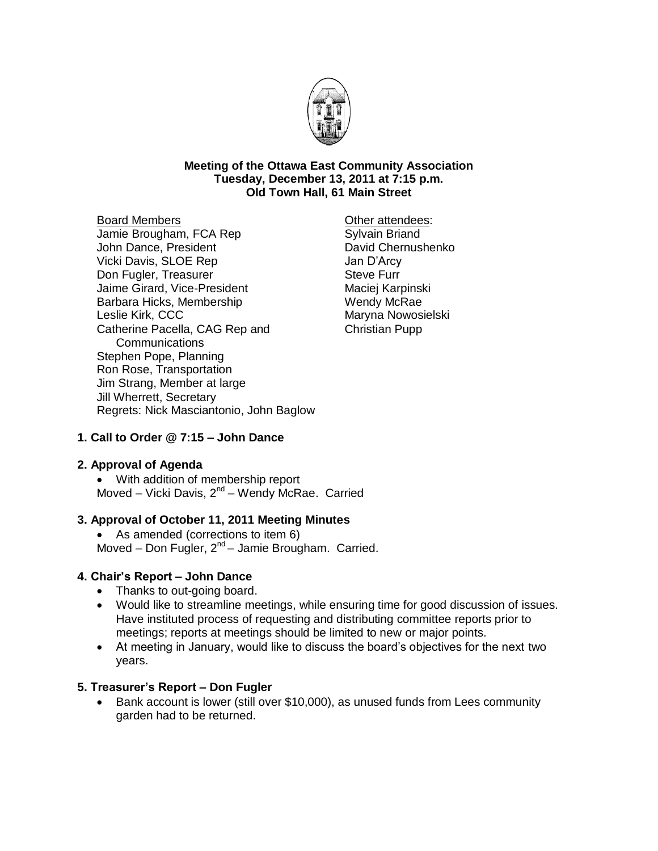

#### **Meeting of the Ottawa East Community Association Tuesday, December 13, 2011 at 7:15 p.m. Old Town Hall, 61 Main Street**

Board Members Jamie Brougham, FCA Rep John Dance, President Vicki Davis, SLOE Rep Don Fugler, Treasurer Jaime Girard, Vice-President Barbara Hicks, Membership Leslie Kirk, CCC Catherine Pacella, CAG Rep and Communications Stephen Pope, Planning Ron Rose, Transportation Jim Strang, Member at large Jill Wherrett, Secretary Regrets: Nick Masciantonio, John Baglow

Other attendees: Sylvain Briand David Chernushenko Jan D'Arcy Steve Furr Maciej Karpinski Wendy McRae Maryna Nowosielski Christian Pupp

# **1. Call to Order @ 7:15 – John Dance**

### **2. Approval of Agenda**

 With addition of membership report Moved – Vicki Davis, 2<sup>nd</sup> – Wendy McRae. Carried

### **3. Approval of October 11, 2011 Meeting Minutes**

• As amended (corrections to item 6) Moved – Don Fugler, 2<sup>nd</sup> – Jamie Brougham. Carried.

### **4. Chair's Report – John Dance**

- Thanks to out-going board.
- Would like to streamline meetings, while ensuring time for good discussion of issues. Have instituted process of requesting and distributing committee reports prior to meetings; reports at meetings should be limited to new or major points.
- At meeting in January, would like to discuss the board's objectives for the next two years.

### **5. Treasurer's Report – Don Fugler**

• Bank account is lower (still over \$10,000), as unused funds from Lees community garden had to be returned.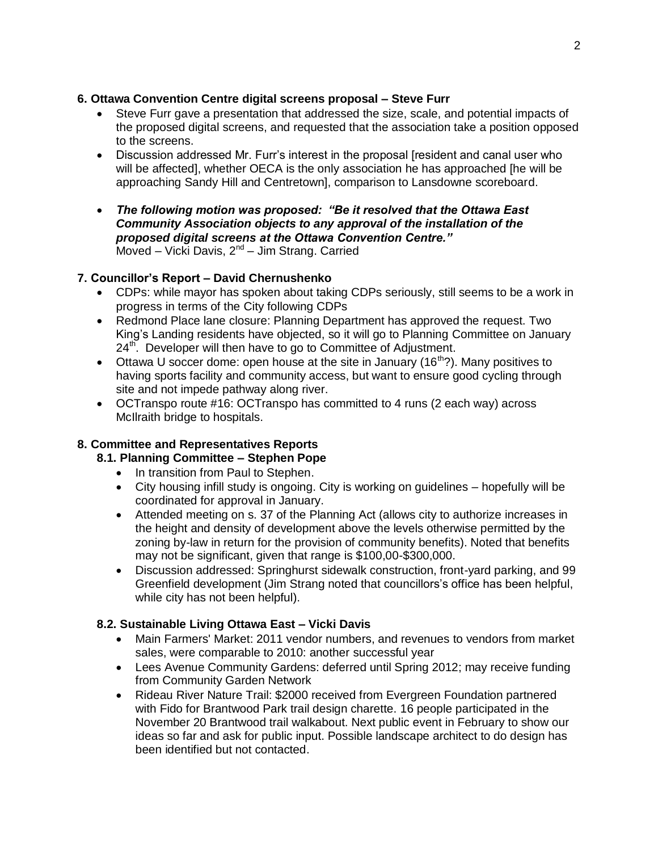## **6. Ottawa Convention Centre digital screens proposal – Steve Furr**

- Steve Furr gave a presentation that addressed the size, scale, and potential impacts of the proposed digital screens, and requested that the association take a position opposed to the screens.
- Discussion addressed Mr. Furr's interest in the proposal [resident and canal user who will be affected], whether OECA is the only association he has approached [he will be approaching Sandy Hill and Centretown], comparison to Lansdowne scoreboard.
- *The following motion was proposed: "Be it resolved that the Ottawa East Community Association objects to any approval of the installation of the proposed digital screens at the Ottawa Convention Centre."* Moved – Vicki Davis, 2<sup>nd</sup> – Jim Strang. Carried

# **7. Councillor's Report – David Chernushenko**

- CDPs: while mayor has spoken about taking CDPs seriously, still seems to be a work in progress in terms of the City following CDPs
- Redmond Place lane closure: Planning Department has approved the request. Two King's Landing residents have objected, so it will go to Planning Committee on January  $24<sup>th</sup>$ . Developer will then have to go to Committee of Adjustment.
- Ottawa U soccer dome: open house at the site in January (16<sup>th</sup>?). Many positives to having sports facility and community access, but want to ensure good cycling through site and not impede pathway along river.
- OCTranspo route #16: OCTranspo has committed to 4 runs (2 each way) across McIlraith bridge to hospitals.

# **8. Committee and Representatives Reports**

- **8.1. Planning Committee – Stephen Pope**
	- In transition from Paul to Stephen.
	- City housing infill study is ongoing. City is working on guidelines hopefully will be coordinated for approval in January.
	- Attended meeting on s. 37 of the Planning Act (allows city to authorize increases in the height and density of development above the levels otherwise permitted by the zoning by-law in return for the provision of community benefits). Noted that benefits may not be significant, given that range is \$100,00-\$300,000.
	- Discussion addressed: Springhurst sidewalk construction, front-yard parking, and 99 Greenfield development (Jim Strang noted that councillors's office has been helpful, while city has not been helpful).

# **8.2. Sustainable Living Ottawa East – Vicki Davis**

- Main Farmers' Market: 2011 vendor numbers, and revenues to vendors from market sales, were comparable to 2010: another successful year
- Lees Avenue Community Gardens: deferred until Spring 2012; may receive funding from Community Garden Network
- Rideau River Nature Trail: \$2000 received from Evergreen Foundation partnered with Fido for Brantwood Park trail design charette. 16 people participated in the November 20 Brantwood trail walkabout. Next public event in February to show our ideas so far and ask for public input. Possible landscape architect to do design has been identified but not contacted.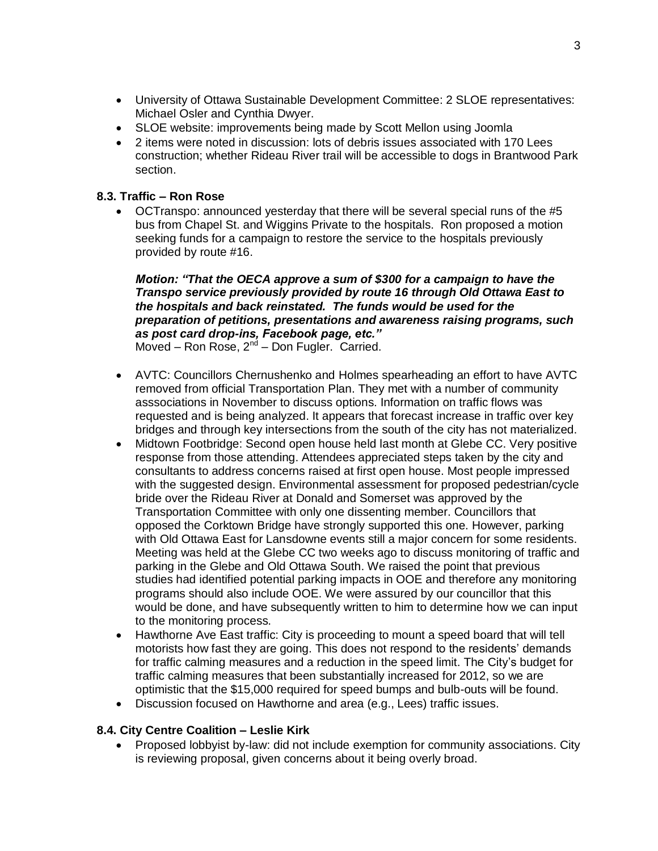- University of Ottawa Sustainable Development Committee: 2 SLOE representatives: Michael Osler and Cynthia Dwyer.
- SLOE website: improvements being made by Scott Mellon using Joomla
- 2 items were noted in discussion: lots of debris issues associated with 170 Lees construction; whether Rideau River trail will be accessible to dogs in Brantwood Park section.

## **8.3. Traffic – Ron Rose**

 OCTranspo: announced yesterday that there will be several special runs of the #5 bus from Chapel St. and Wiggins Private to the hospitals. Ron proposed a motion seeking funds for a campaign to restore the service to the hospitals previously provided by route #16.

#### *Motion: "That the OECA approve a sum of \$300 for a campaign to have the Transpo service previously provided by route 16 through Old Ottawa East to the hospitals and back reinstated. The funds would be used for the preparation of petitions, presentations and awareness raising programs, such as post card drop-ins, Facebook page, etc."* Moved – Ron Rose, 2<sup>nd</sup> – Don Fugler. Carried.

- AVTC: Councillors Chernushenko and Holmes spearheading an effort to have AVTC removed from official Transportation Plan. They met with a number of community asssociations in November to discuss options. Information on traffic flows was requested and is being analyzed. It appears that forecast increase in traffic over key bridges and through key intersections from the south of the city has not materialized.
- Midtown Footbridge: Second open house held last month at Glebe CC. Very positive response from those attending. Attendees appreciated steps taken by the city and consultants to address concerns raised at first open house. Most people impressed with the suggested design. Environmental assessment for proposed pedestrian/cycle bride over the Rideau River at Donald and Somerset was approved by the Transportation Committee with only one dissenting member. Councillors that opposed the Corktown Bridge have strongly supported this one. However, parking with Old Ottawa East for Lansdowne events still a major concern for some residents. Meeting was held at the Glebe CC two weeks ago to discuss monitoring of traffic and parking in the Glebe and Old Ottawa South. We raised the point that previous studies had identified potential parking impacts in OOE and therefore any monitoring programs should also include OOE. We were assured by our councillor that this would be done, and have subsequently written to him to determine how we can input to the monitoring process.
- Hawthorne Ave East traffic: City is proceeding to mount a speed board that will tell motorists how fast they are going. This does not respond to the residents' demands for traffic calming measures and a reduction in the speed limit. The City's budget for traffic calming measures that been substantially increased for 2012, so we are optimistic that the \$15,000 required for speed bumps and bulb-outs will be found.
- Discussion focused on Hawthorne and area (e.g., Lees) traffic issues.

# **8.4. City Centre Coalition – Leslie Kirk**

 Proposed lobbyist by-law: did not include exemption for community associations. City is reviewing proposal, given concerns about it being overly broad.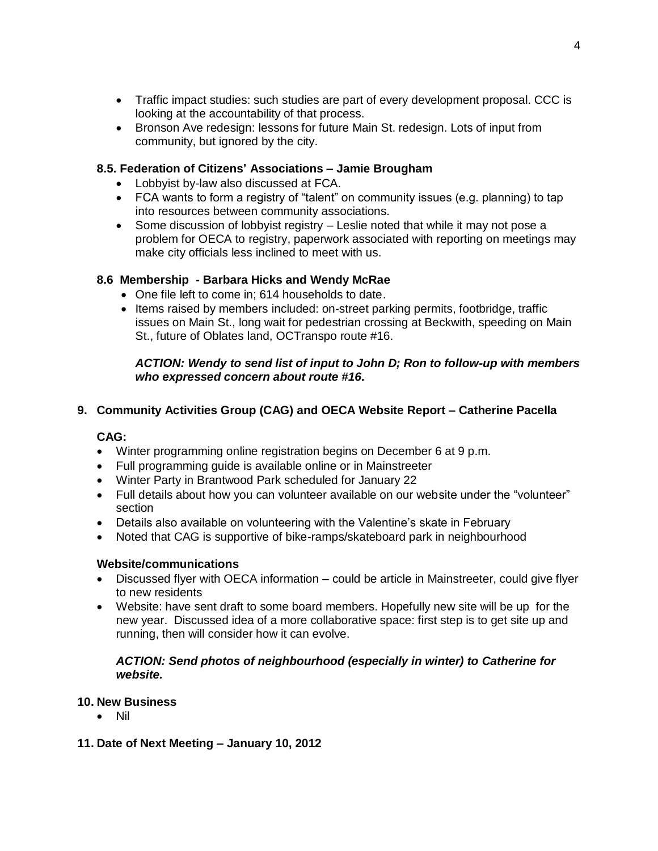- Traffic impact studies: such studies are part of every development proposal. CCC is looking at the accountability of that process.
- Bronson Ave redesign: lessons for future Main St. redesign. Lots of input from community, but ignored by the city.

## **8.5. Federation of Citizens' Associations – Jamie Brougham**

- Lobbyist by-law also discussed at FCA.
- FCA wants to form a registry of "talent" on community issues (e.g. planning) to tap into resources between community associations.
- Some discussion of lobbyist registry Leslie noted that while it may not pose a problem for OECA to registry, paperwork associated with reporting on meetings may make city officials less inclined to meet with us.

## **8.6 Membership - Barbara Hicks and Wendy McRae**

- One file left to come in; 614 households to date.
- Items raised by members included: on-street parking permits, footbridge, traffic issues on Main St., long wait for pedestrian crossing at Beckwith, speeding on Main St., future of Oblates land, OCTranspo route #16.

### *ACTION: Wendy to send list of input to John D; Ron to follow-up with members who expressed concern about route #16.*

## **9. Community Activities Group (CAG) and OECA Website Report – Catherine Pacella**

### **CAG:**

- Winter programming online registration begins on December 6 at 9 p.m.
- Full programming guide is available online or in Mainstreeter
- Winter Party in Brantwood Park scheduled for January 22
- Full details about how you can volunteer available on our website under the "volunteer" section
- Details also available on volunteering with the Valentine's skate in February
- Noted that CAG is supportive of bike-ramps/skateboard park in neighbourhood

### **Website/communications**

- Discussed flyer with OECA information could be article in Mainstreeter, could give flyer to new residents
- Website: have sent draft to some board members. Hopefully new site will be up for the new year. Discussed idea of a more collaborative space: first step is to get site up and running, then will consider how it can evolve.

### *ACTION: Send photos of neighbourhood (especially in winter) to Catherine for website.*

### **10. New Business**

Nil

### **11. Date of Next Meeting – January 10, 2012**